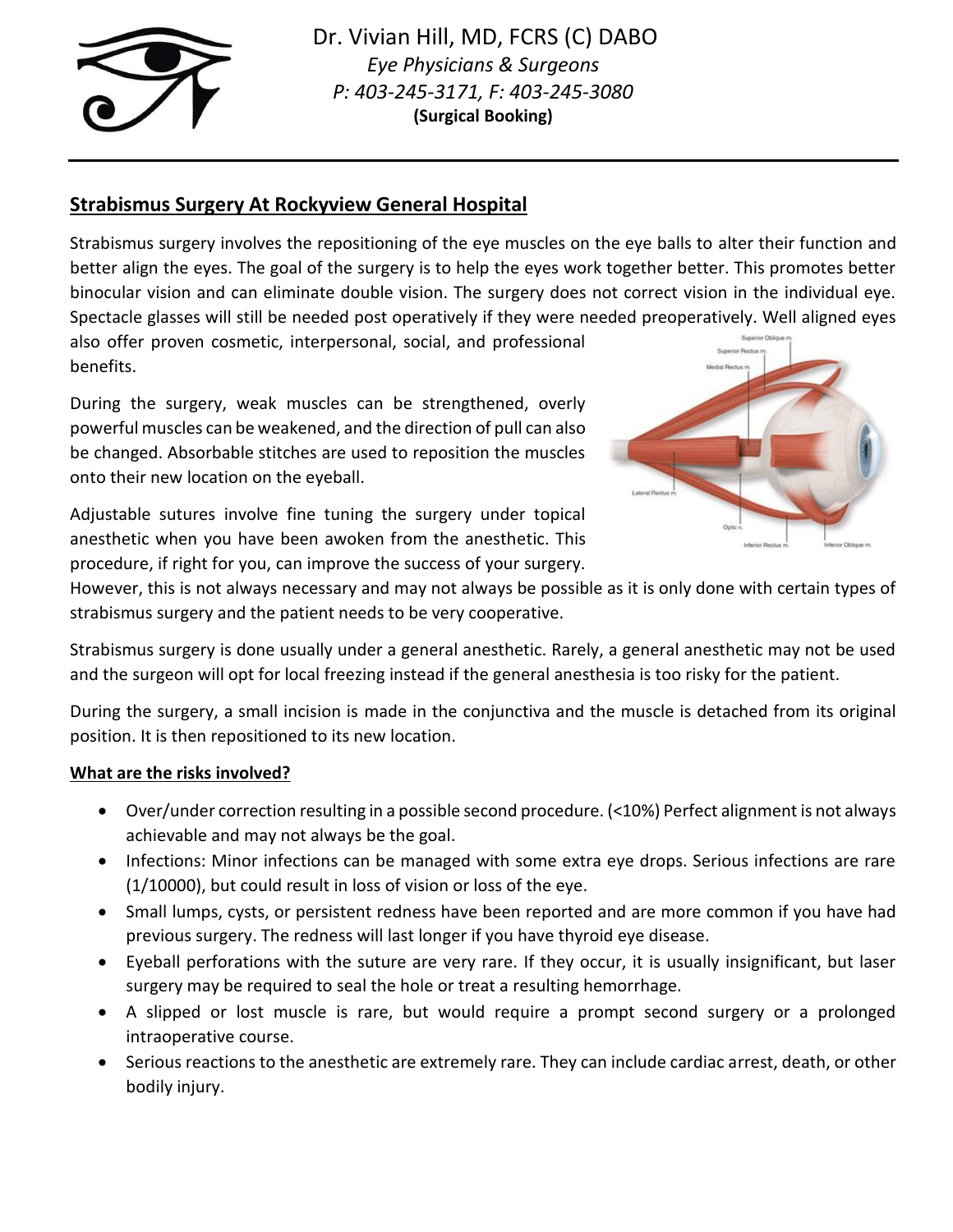

Dr. Vivian Hill, MD, FCRS (C) DABO *Eye Physicians & Surgeons P: 403-245-3171, F: 403-245-3080* **(Surgical Booking)**

# **Strabismus Surgery At Rockyview General Hospital**

Strabismus surgery involves the repositioning of the eye muscles on the eye balls to alter their function and better align the eyes. The goal of the surgery is to help the eyes work together better. This promotes better binocular vision and can eliminate double vision. The surgery does not correct vision in the individual eye. Spectacle glasses will still be needed post operatively if they were needed preoperatively. Well aligned eyes also offer proven cosmetic, interpersonal, social, and professional

benefits.

During the surgery, weak muscles can be strengthened, overly powerful muscles can be weakened, and the direction of pull can also be changed. Absorbable stitches are used to reposition the muscles onto their new location on the eyeball.

Adjustable sutures involve fine tuning the surgery under topical anesthetic when you have been awoken from the anesthetic. This procedure, if right for you, can improve the success of your surgery.



However, this is not always necessary and may not always be possible as it is only done with certain types of strabismus surgery and the patient needs to be very cooperative.

Strabismus surgery is done usually under a general anesthetic. Rarely, a general anesthetic may not be used and the surgeon will opt for local freezing instead if the general anesthesia is too risky for the patient.

During the surgery, a small incision is made in the conjunctiva and the muscle is detached from its original position. It is then repositioned to its new location.

## **What are the risks involved?**

- Over/under correction resulting in a possible second procedure. (<10%) Perfect alignment is not always achievable and may not always be the goal.
- Infections: Minor infections can be managed with some extra eye drops. Serious infections are rare (1/10000), but could result in loss of vision or loss of the eye.
- Small lumps, cysts, or persistent redness have been reported and are more common if you have had previous surgery. The redness will last longer if you have thyroid eye disease.
- Eyeball perforations with the suture are very rare. If they occur, it is usually insignificant, but laser surgery may be required to seal the hole or treat a resulting hemorrhage.
- A slipped or lost muscle is rare, but would require a prompt second surgery or a prolonged intraoperative course.
- Serious reactions to the anesthetic are extremely rare. They can include cardiac arrest, death, or other bodily injury.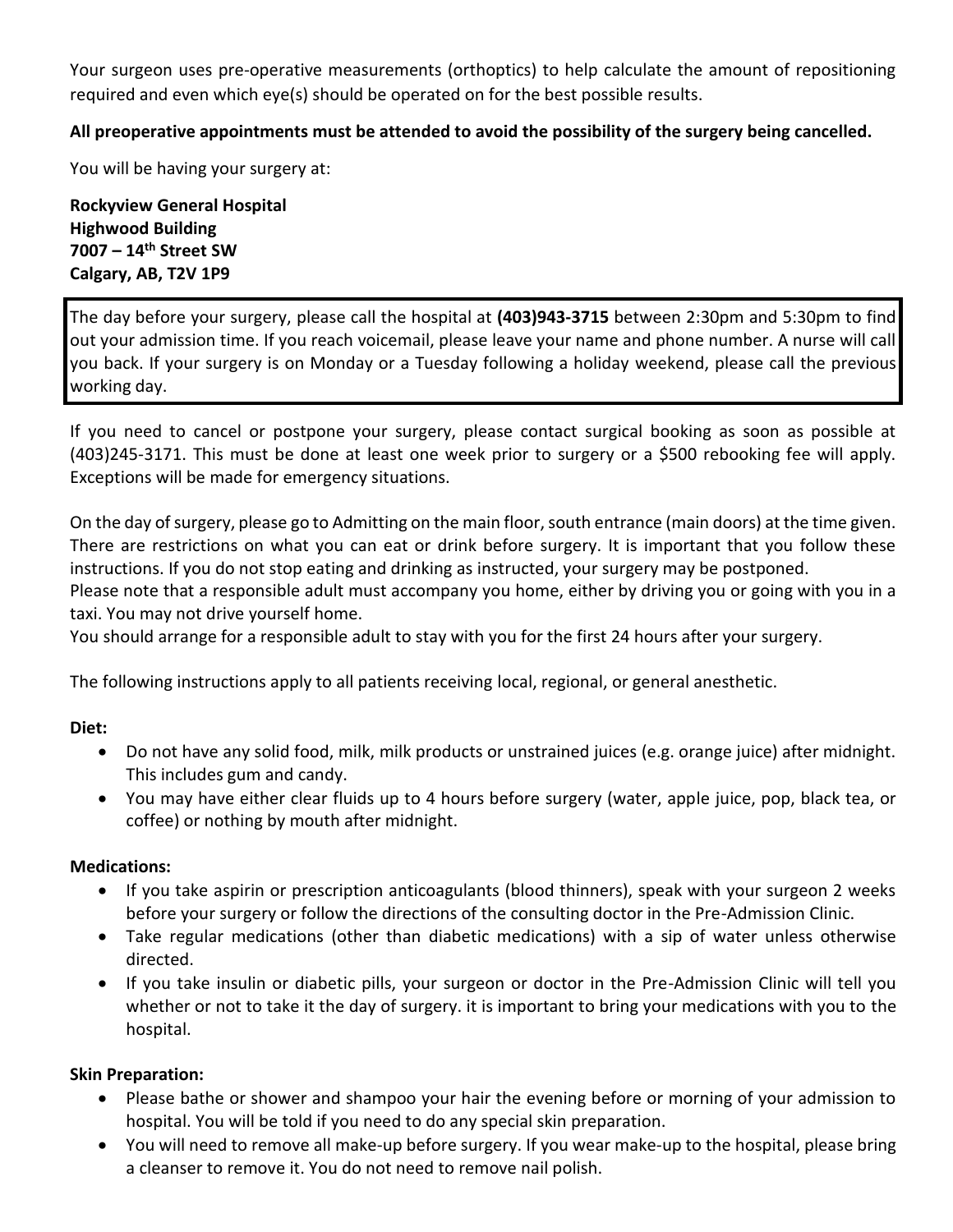Your surgeon uses pre-operative measurements (orthoptics) to help calculate the amount of repositioning required and even which eye(s) should be operated on for the best possible results.

## **All preoperative appointments must be attended to avoid the possibility of the surgery being cancelled.**

You will be having your surgery at:

**Rockyview General Hospital Highwood Building 7007 – 14th Street SW Calgary, AB, T2V 1P9**

The day before your surgery, please call the hospital at **(403)943-3715** between 2:30pm and 5:30pm to find out your admission time. If you reach voicemail, please leave your name and phone number. A nurse will call you back. If your surgery is on Monday or a Tuesday following a holiday weekend, please call the previous working day.

If you need to cancel or postpone your surgery, please contact surgical booking as soon as possible at (403)245-3171. This must be done at least one week prior to surgery or a \$500 rebooking fee will apply. Exceptions will be made for emergency situations.

On the day of surgery, please go to Admitting on the main floor, south entrance (main doors) at the time given. There are restrictions on what you can eat or drink before surgery. It is important that you follow these instructions. If you do not stop eating and drinking as instructed, your surgery may be postponed.

Please note that a responsible adult must accompany you home, either by driving you or going with you in a taxi. You may not drive yourself home.

You should arrange for a responsible adult to stay with you for the first 24 hours after your surgery.

The following instructions apply to all patients receiving local, regional, or general anesthetic.

#### **Diet:**

- Do not have any solid food, milk, milk products or unstrained juices (e.g. orange juice) after midnight. This includes gum and candy.
- You may have either clear fluids up to 4 hours before surgery (water, apple juice, pop, black tea, or coffee) or nothing by mouth after midnight.

## **Medications:**

- If you take aspirin or prescription anticoagulants (blood thinners), speak with your surgeon 2 weeks before your surgery or follow the directions of the consulting doctor in the Pre-Admission Clinic.
- Take regular medications (other than diabetic medications) with a sip of water unless otherwise directed.
- If you take insulin or diabetic pills, your surgeon or doctor in the Pre-Admission Clinic will tell you whether or not to take it the day of surgery. it is important to bring your medications with you to the hospital.

## **Skin Preparation:**

- Please bathe or shower and shampoo your hair the evening before or morning of your admission to hospital. You will be told if you need to do any special skin preparation.
- You will need to remove all make-up before surgery. If you wear make-up to the hospital, please bring a cleanser to remove it. You do not need to remove nail polish.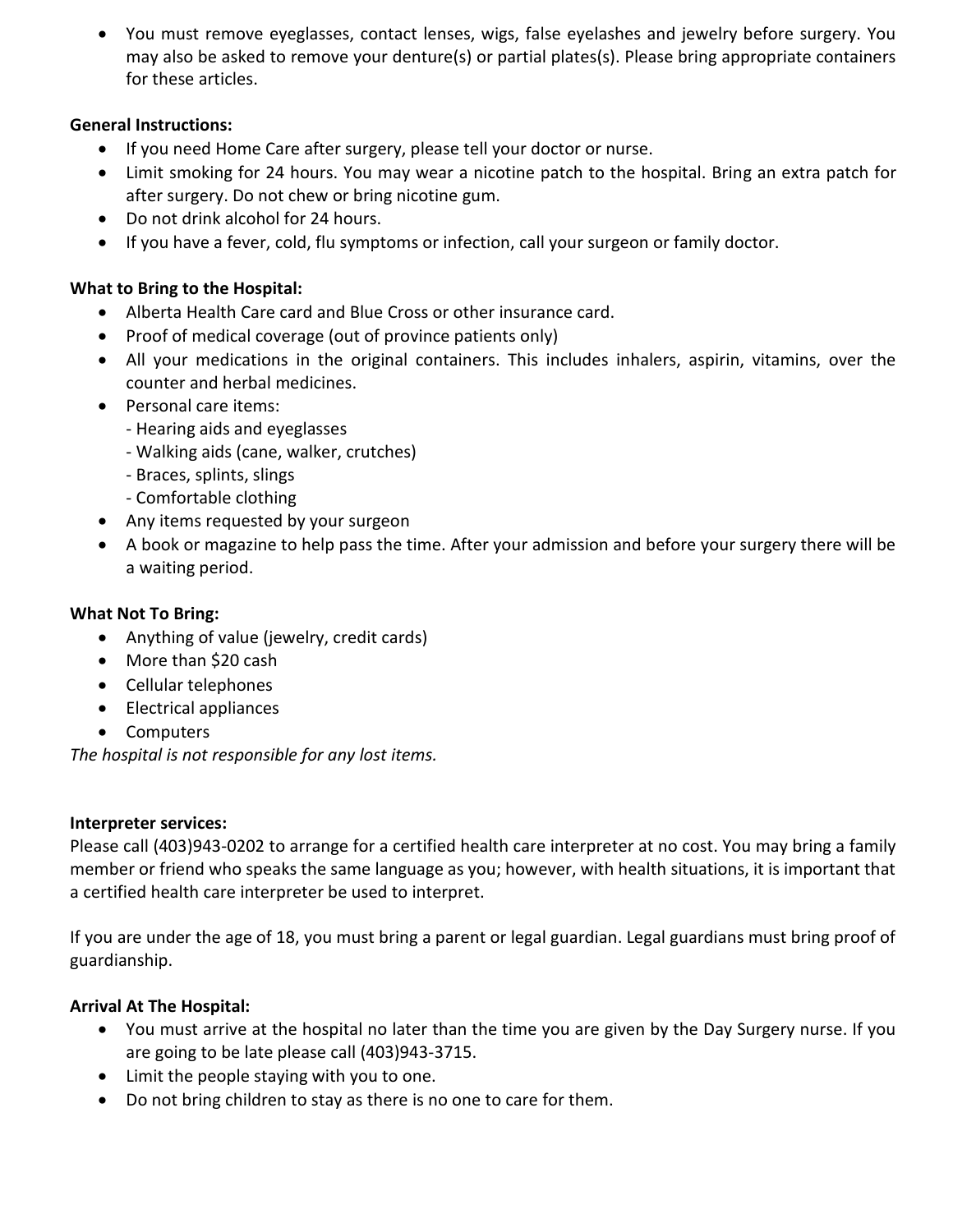• You must remove eyeglasses, contact lenses, wigs, false eyelashes and jewelry before surgery. You may also be asked to remove your denture(s) or partial plates(s). Please bring appropriate containers for these articles.

# **General Instructions:**

- If you need Home Care after surgery, please tell your doctor or nurse.
- Limit smoking for 24 hours. You may wear a nicotine patch to the hospital. Bring an extra patch for after surgery. Do not chew or bring nicotine gum.
- Do not drink alcohol for 24 hours.
- If you have a fever, cold, flu symptoms or infection, call your surgeon or family doctor.

# **What to Bring to the Hospital:**

- Alberta Health Care card and Blue Cross or other insurance card.
- Proof of medical coverage (out of province patients only)
- All your medications in the original containers. This includes inhalers, aspirin, vitamins, over the counter and herbal medicines.
- Personal care items:
	- Hearing aids and eyeglasses
	- Walking aids (cane, walker, crutches)
	- Braces, splints, slings
	- Comfortable clothing
- Any items requested by your surgeon
- A book or magazine to help pass the time. After your admission and before your surgery there will be a waiting period.

# **What Not To Bring:**

- Anything of value (jewelry, credit cards)
- More than \$20 cash
- Cellular telephones
- Electrical appliances
- Computers

*The hospital is not responsible for any lost items.*

## **Interpreter services:**

Please call (403)943-0202 to arrange for a certified health care interpreter at no cost. You may bring a family member or friend who speaks the same language as you; however, with health situations, it is important that a certified health care interpreter be used to interpret.

If you are under the age of 18, you must bring a parent or legal guardian. Legal guardians must bring proof of guardianship.

# **Arrival At The Hospital:**

- You must arrive at the hospital no later than the time you are given by the Day Surgery nurse. If you are going to be late please call (403)943-3715.
- Limit the people staying with you to one.
- Do not bring children to stay as there is no one to care for them.